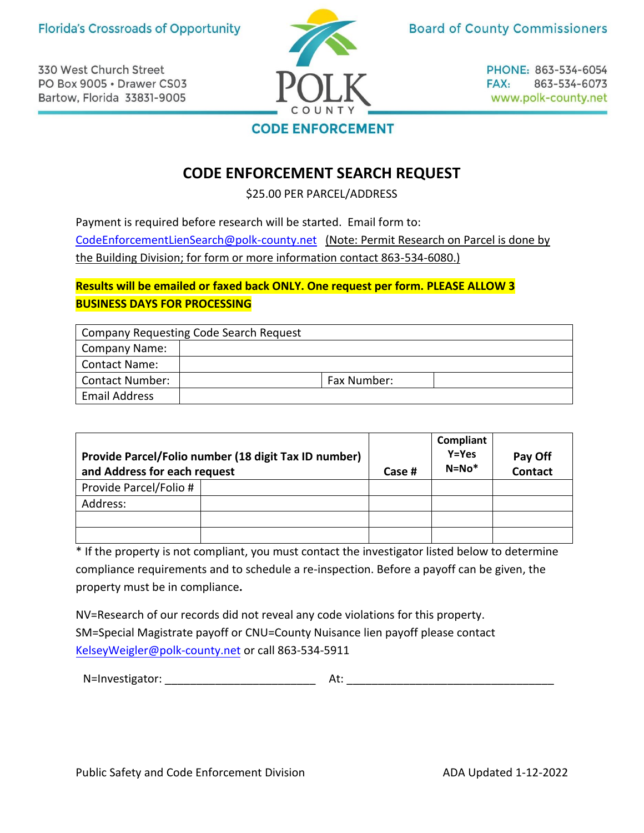330 West Church Street PO Box 9005 · Drawer CS03 Bartow, Florida 33831-9005



**Board of County Commissioners** 

PHONE: 863-534-6054 FAX: 863-534-6073 www.polk-county.net

## **CODE ENFORCEMENT**

## **CODE ENFORCEMENT SEARCH REQUEST**

\$25.00 PER PARCEL/ADDRESS

Payment is required before research will be started. Email form to: [CodeEnforcementLienSearch@polk-county.net](mailto:CodeEnforcementLienSearch@polk-county.net) (Note: Permit Research on Parcel is done by the Building Division; for form or more information contact 863-534-6080.)

## **Results will be emailed or faxed back ONLY. One request per form. PLEASE ALLOW 3 BUSINESS DAYS FOR PROCESSING**

|                        | <b>Company Requesting Code Search Request</b> |             |
|------------------------|-----------------------------------------------|-------------|
| <b>Company Name:</b>   |                                               |             |
| <b>Contact Name:</b>   |                                               |             |
| <b>Contact Number:</b> |                                               | Fax Number: |
| Email Address          |                                               |             |

| Provide Parcel/Folio number (18 digit Tax ID number)<br>and Address for each request |  | Case # | Compliant<br>$Y = Yes$<br>$N = No*$ | Pay Off<br>Contact |
|--------------------------------------------------------------------------------------|--|--------|-------------------------------------|--------------------|
| Provide Parcel/Folio #                                                               |  |        |                                     |                    |
| Address:                                                                             |  |        |                                     |                    |
|                                                                                      |  |        |                                     |                    |
|                                                                                      |  |        |                                     |                    |

\* If the property is not compliant, you must contact the investigator listed below to determine compliance requirements and to schedule a re-inspection. Before a payoff can be given, the property must be in compliance**.**

NV=Research of our records did not reveal any code violations for this property. SM=Special Magistrate payoff or CNU=County Nuisance lien payoff please contact KelseyWeigler[@polk-county.net](mailto:KelseyWeigler@polk-county.net) or call 863-534-5911

N=Investigator: \_\_\_\_\_\_\_\_\_\_\_\_\_\_\_\_\_\_\_\_\_\_\_\_ At: \_\_\_\_\_\_\_\_\_\_\_\_\_\_\_\_\_\_\_\_\_\_\_\_\_\_\_\_\_\_\_\_\_